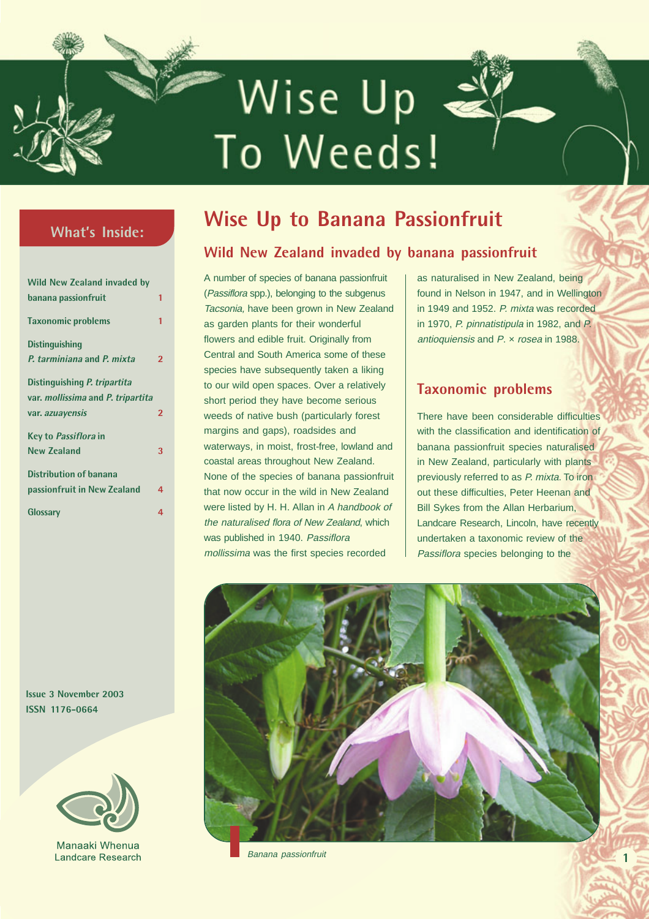# Wise Up To Weeds!

**Wise Up To Weeds Issue 3 November 2003**

# **What's Inside:**

| <b>Wild New Zealand invaded by</b>       |                |
|------------------------------------------|----------------|
| banana passionfruit                      | 1              |
| <b>Taxonomic problems</b>                | 1              |
| <b>Distinguishing</b>                    |                |
| P. tarminiana and P. mixta               | $\overline{2}$ |
| Distinguishing P. tripartita             |                |
| var. <i>mollissima</i> and P. tripartita |                |
| var. azuayensis                          | $\overline{2}$ |
| Key to Passiflora in                     |                |
| New <b>Zealand</b>                       | 3              |
| <b>Distribution of banana</b>            |                |
| passionfruit in New Zealand              | 4              |
| Glossary                                 | 4              |

# **Wise Up to Banana Passionfruit**

# **Wild New Zealand invaded by banana passionfruit**

A number of species of banana passionfruit (Passiflora spp.), belonging to the subgenus Tacsonia, have been grown in New Zealand as garden plants for their wonderful flowers and edible fruit. Originally from Central and South America some of these species have subsequently taken a liking to our wild open spaces. Over a relatively short period they have become serious weeds of native bush (particularly forest margins and gaps), roadsides and waterways, in moist, frost-free, lowland and coastal areas throughout New Zealand. None of the species of banana passionfruit that now occur in the wild in New Zealand were listed by H. H. Allan in A handbook of the naturalised flora of New Zealand, which was published in 1940. Passiflora mollissima was the first species recorded

as naturalised in New Zealand, being found in Nelson in 1947, and in Wellington in 1949 and 1952. P. mixta was recorded in 1970, P. pinnatistipula in 1982, and P. antioquiensis and P. x rosea in 1988.

# **Taxonomic problems**

There have been considerable difficulties with the classification and identification of banana passionfruit species naturalised in New Zealand, particularly with plants previously referred to as P. mixta. To iron out these difficulties, Peter Heenan and Bill Sykes from the Allan Herbarium, Landcare Research, Lincoln, have recently undertaken a taxonomic review of the Passiflora species belonging to the

**1**



Banana passionfruit

**Issue 3 November 2003 ISSN 1176-0664**



Manaaki Whenua **Landcare Research**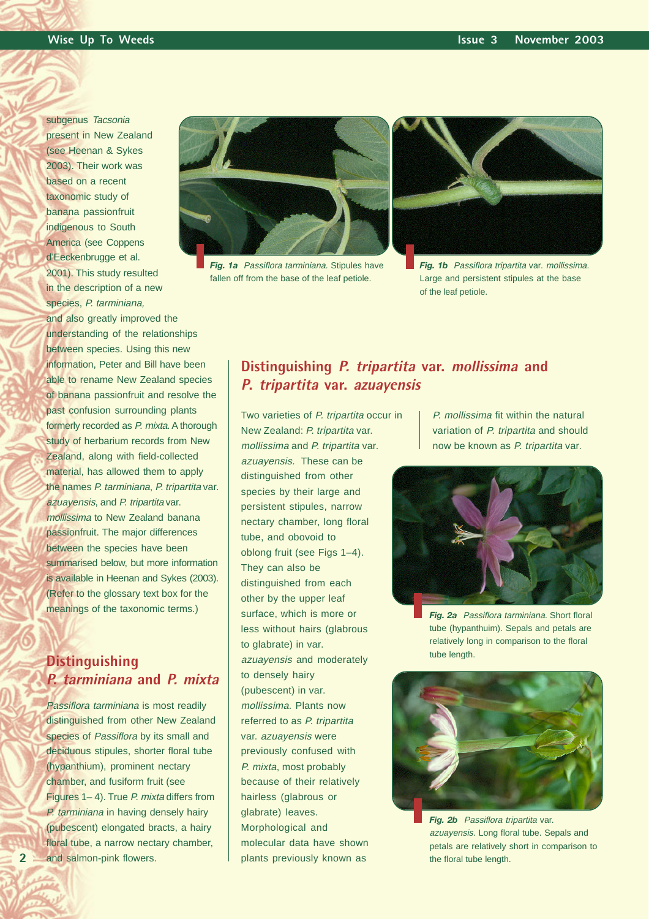subgenus Tacsonia present in New Zealand (see Heenan & Sykes 2003). Their work was based on a recent taxonomic study of banana passionfruit indigenous to South America (see Coppens d'Eeckenbrugge et al. 2001). This study resulted in the description of a new species, P. tarminiana, and also greatly improved the understanding of the relationships between species. Using this new information, Peter and Bill have been able to rename New Zealand species of banana passionfruit and resolve the past confusion surrounding plants formerly recorded as P. mixta. A thorough study of herbarium records from New Zealand, along with field-collected material, has allowed them to apply the names P. tarminiana, P. tripartita var. azuayensis, and P. tripartita var. mollissima to New Zealand banana passionfruit. The major differences between the species have been summarised below, but more information is available in Heenan and Sykes (2003). (Refer to the glossary text box for the meanings of the taxonomic terms.)

# **Distinguishing P. tarminiana and P. mixta**

Passiflora tarminiana is most readily distinguished from other New Zealand species of Passiflora by its small and deciduous stipules, shorter floral tube (hypanthium), prominent nectary chamber, and fusiform fruit (see Figures 1–4). True P. mixta differs from P. tarminiana in having densely hairy (pubescent) elongated bracts, a hairy floral tube, a narrow nectary chamber, and salmon-pink flowers.

**2**



**Fig. 1a** Passiflora tarminiana. Stipules have fallen off from the base of the leaf petiole.



**Fig. 1b** Passiflora tripartita var. mollissima. Large and persistent stipules at the base of the leaf petiole.

#### **Distinguishing P. tripartita var. mollissima and <sup>P</sup>. tripartita var. azuayensis**

Two varieties of P. tripartita occur in New Zealand: P. tripartita var. mollissima and P. tripartita var. azuayensis. These can be distinguished from other species by their large and persistent stipules, narrow nectary chamber, long floral tube, and obovoid to oblong fruit (see Figs 1–4). They can also be distinguished from each other by the upper leaf surface, which is more or less without hairs (glabrous to glabrate) in var. azuayensis and moderately to densely hairy (pubescent) in var. mollissima. Plants now referred to as P. tripartita var. azuayensis were previously confused with P. mixta, most probably because of their relatively hairless (glabrous or glabrate) leaves. Morphological and molecular data have shown plants previously known as

P. mollissima fit within the natural variation of P. tripartita and should now be known as P. tripartita var.



*Fig. 2a* Passiflora tarminiana. Short floral tube (hypanthuim). Sepals and petals are relatively long in comparison to the floral tube length.



**Fig. 2b** Passiflora tripartita var. azuayensis. Long floral tube. Sepals and petals are relatively short in comparison to the floral tube length.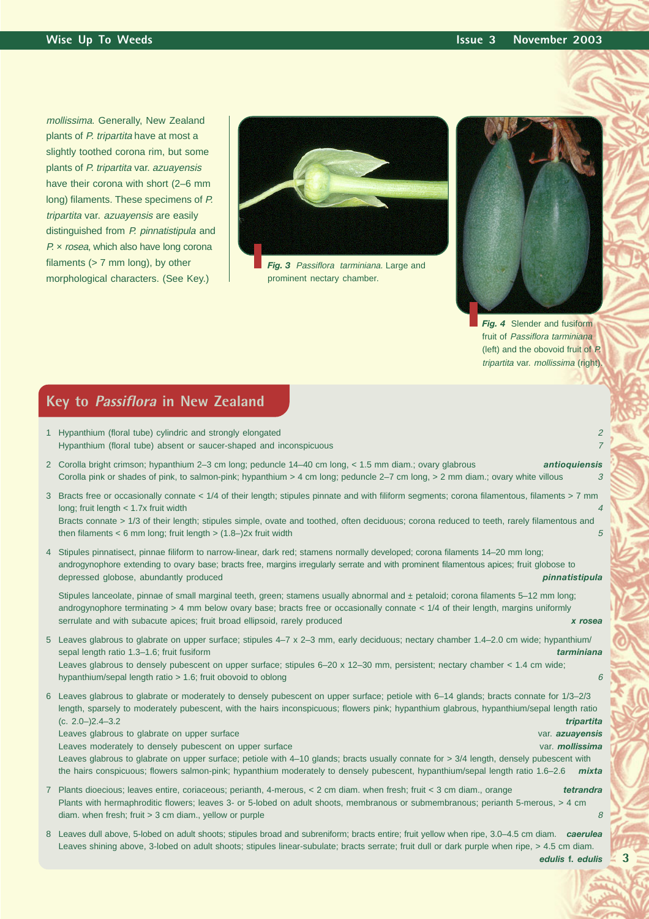mollissima. Generally, New Zealand plants of P. tripartita have at most a slightly toothed corona rim, but some plants of P. tripartita var. azuayensis have their corona with short (2–6 mm long) filaments. These specimens of P. tripartita var. azuayensis are easily distinguished from P. pinnatistipula and P. x rosea, which also have long corona filaments (> 7 mm long), by other morphological characters. (See Key.)



**Fig. 3** Passiflora tarminiana. Large and prominent nectary chamber.



*Fig. 4* Slender and fusiform fruit of Passiflora tarminiana (left) and the obovoid fruit of P. tripartita var. mollissima (right).

# **Key to Passiflora in New Zealand**

- 1 Hypanthium (floral tube) cylindric and strongly elongated 2 Hypanthium (floral tube) absent or saucer-shaped and inconspicuous <sup>7</sup>
- 2 Corolla bright crimson; hypanthium 2–3 cm long; peduncle 14–40 cm long, < 1.5 mm diam.; ovary glabrous *antioquiensis* Corolla pink or shades of pink, to salmon-pink; hypanthium > 4 cm long; peduncle 2–7 cm long, > 2 mm diam.; ovary white villous
- 3 Bracts free or occasionally connate < 1/4 of their length; stipules pinnate and with filiform segments; corona filamentous, filaments > 7 mm long; fruit length  $<$  1.7x fruit width

Bracts connate > 1/3 of their length; stipules simple, ovate and toothed, often deciduous; corona reduced to teeth, rarely filamentous and then filaments < 6 mm long; fruit length > (1.8–)2x fruit width 5  $5\%$ 

4 Stipules pinnatisect, pinnae filiform to narrow-linear, dark red; stamens normally developed; corona filaments 14–20 mm long; androgynophore extending to ovary base; bracts free, margins irregularly serrate and with prominent filamentous apices; fruit globose to depressed globose, abundantly produced *pinnatistipula*

Stipules lanceolate, pinnae of small marginal teeth, green; stamens usually abnormal and ± petaloid; corona filaments 5–12 mm long; androgynophore terminating > 4 mm below ovary base; bracts free or occasionally connate < 1/4 of their length, margins uniformly serrulate and with subacute apices; fruit broad ellipsoid, rarely produced *x rosea*

- 5 Leaves glabrous to glabrate on upper surface; stipules 4–7 x 2–3 mm, early deciduous; nectary chamber 1.4–2.0 cm wide; hypanthium/ sepal length ratio 1.3–1.6; fruit fusiform *tarminiana* Leaves glabrous to densely pubescent on upper surface; stipules  $6-20 \times 12-30$  mm, persistent; nectary chamber  $< 1.4$  cm wide; hypanthium/sepal length ratio > 1.6; fruit obovoid to oblong 6 and 6 and 6 and 6 and 6 and 6 and 6 and 6 and 6 and 6 and 6 and 6 and 6 and 6 and 6 and 6 and 6 and 6 and 6 and 6 and 6 and 6 and 6 and 6 and 6 and 6 and 6 and
- 6 Leaves glabrous to glabrate or moderately to densely pubescent on upper surface; petiole with 6–14 glands; bracts connate for 1/3–2/3 length, sparsely to moderately pubescent, with the hairs inconspicuous; flowers pink; hypanthium glabrous, hypanthium/sepal length ratio (c. 2.0–)2.4–3.2 *tripartita*

Leaves glabrous to glabrate on upper surface var. *azuayensis*

Leaves moderately to densely pubescent on upper surface var. **moderately** var. *mollissima* Leaves glabrous to glabrate on upper surface; petiole with 4–10 glands; bracts usually connate for > 3/4 length, densely pubescent with the hairs conspicuous; flowers salmon-pink; hypanthium moderately to densely pubescent, hypanthium/sepal length ratio 1.6–2.6 *mixta*

- 7 Plants dioecious; leaves entire, coriaceous; perianth, 4-merous, < 2 cm diam. when fresh; fruit < 3 cm diam., orange *tetrandra* Plants with hermaphroditic flowers; leaves 3- or 5-lobed on adult shoots, membranous or submembranous; perianth 5-merous, > 4 cm diam. when fresh; fruit > 3 cm diam., yellow or purple 8 and 3 cm set of the state 8 and 3 cm set of the state 8 and 3 cm set of the state 8 and 3 cm set of the state 8 and 3 cm set of the state 8 and 3 cm set of the state
- 8 Leaves dull above, 5-lobed on adult shoots; stipules broad and subreniform; bracts entire; fruit yellow when ripe, 3.0–4.5 cm diam. *caerulea* Leaves shining above, 3-lobed on adult shoots; stipules linear-subulate; bracts serrate; fruit dull or dark purple when ripe, > 4.5 cm diam.

*edulis* **f.** *edulis*

**3**